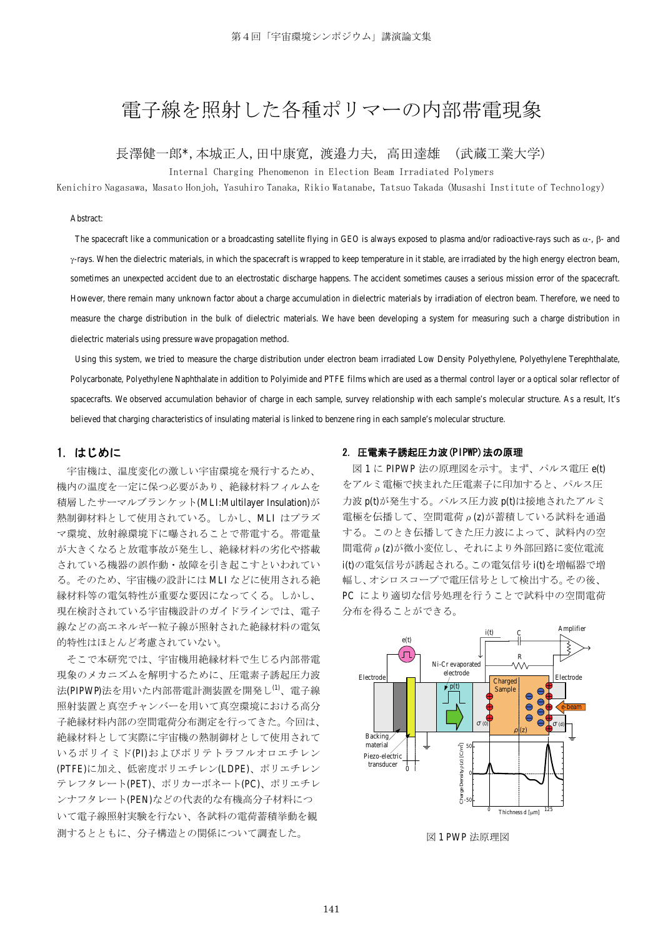# 雷子線を照射した各種ポリマーの内部帯雷現象

#### 長澤健一郎\*,本城正人,田中康寬, 渡邉力夫, 高田達雄-(武蔵工業大学)

Internal Charging Phenomenon in Election Beam Irradiated Polymers

Kenichiro Nagasawa, Masato Honjoh, Yasuhiro Tanaka, Rikio Watanabe, Tatsuo Takada (Musashi Institute of Technology)

#### Abstract:

The spacecraft like a communication or a broadcasting satellite flying in GEO is always exposed to plasma and/or radioactive-rays such as  $\alpha$ -,  $\beta$ - and  $\gamma$ -rays. When the dielectric materials, in which the spacecraft is wrapped to keep temperature in it stable, are irradiated by the high energy electron beam, sometimes an unexpected accident due to an electrostatic discharge happens. The accident sometimes causes a serious mission error of the spacecraft. However, there remain many unknown factor about a charge accumulation in dielectric materials by irradiation of electron beam. Therefore, we need to measure the charge distribution in the bulk of dielectric materials. We have been developing a system for measuring such a charge distribution in dielectric materials using pressure wave propagation method.

 Using this system, we tried to measure the charge distribution under electron beam irradiated Low Density Polyethylene, Polyethylene Terephthalate, Polycarbonate, Polyethylene Naphthalate in addition to Polyimide and PTFE films which are used as a thermal control layer or a optical solar reflector of spacecrafts. We observed accumulation behavior of charge in each sample, survey relationship with each sample's molecular structure. As a result, It's believed that charging characteristics of insulating material is linked to benzene ring in each sample's molecular structure.

# 1.はじめに

宇宙機は、温度変化の激しい宇宙環境を飛行するため、 機内の温度を一定に保つ必要があり、絶縁材料フィルムを 積層したサーマルブランケット(MLI:Multilayer Insulation)が 熱制御材料として使用されている。しかし、MLI はプラズ マ環境、放射線環境下に曝されることで帯電する。帯電量 が大きくなると放電事故が発生し、絶縁材料の劣化や搭載 されている機器の誤作動・故障を引き起こすといわれてい る。そのため、宇宙機の設計には MLI などに使用される絶 縁材料等の電気特性が重要な要因になってくる。しかし、 現在検討されている宇宙機設計のガイドラインでは、電子 線などの高エネルギー粒子線が照射された絶縁材料の電気 的特性はほとんど考慮されていない。

そこで本研究では、宇宙機用絶縁材料で生じる内部帯電 現象のメカニズムを解明するために、圧電素子誘起圧力波 法(PIPWP)法を用いた内部帯電計測装置を開発し(1)、電子線 照射装置と真空チャンバーを用いて真空環境における高分 子絶縁材料内部の空間電荷分布測定を行ってきた。今回は、 絶縁材料として実際に宇宙機の熱制御材として使用されて いるポリイミド(PI)およびポリテトラフルオロエチレン (PTFE)に加え、低密度ポリエチレン(LDPE)、ポリエチレン テレフタレート(PET)、ポリカーボネート(PC)、ポリエチレ ンナフタレート(PEN)などの代表的な有機高分子材料につ いて電子線照射実験を行ない、各試料の電荷蓄積挙動を観 測するとともに、分子構造との関係について調査した。

# 2.圧電素子誘起圧力波(PIPWP)法の原理

図1にPIPWP 法の原理図を示す。まず、パルス電圧 e(t) をアルミ電極で挟まれた圧電素子に印加すると、パルス圧 力波 p(t)が発生する。パルス圧力波 p(t)は接地されたアルミ 電極を伝播して、空間電荷 ρ(z)が蓄積している試料を通過 する。このとき伝播してきた圧力波によって、試料内の空 間電荷 ρ(z)が微小変位し、それにより外部回路に変位電流 i(t)の電気信号が誘起される。この電気信号 i(t)を増幅器で増 幅し、オシロスコープで電圧信号として検出する。その後、 PC により適切な信号処理を行うことで試料中の空間電荷 分布を得ることができる。



図 1 PWP 法原理図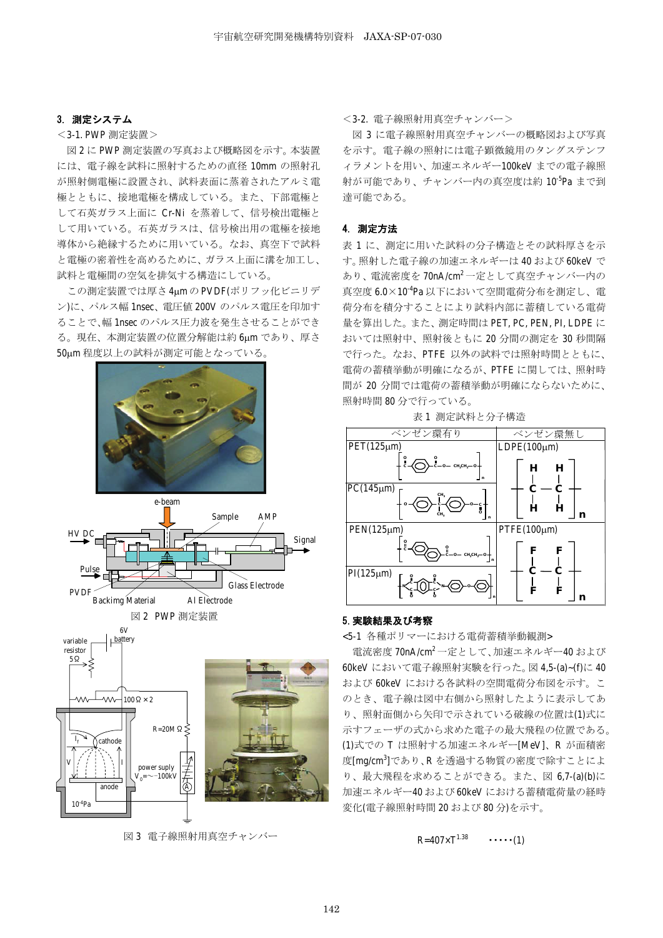# 3. 測定システム

< 3-1. PWP 測定装置 >

図2にPWP 測定装置の写真および概略図を示す。本装置 には、電子線を試料に照射するための直径 10mm の照射孔 が照射側雷極に設置され、試料表面に蒸着されたアルミ雷 極とともに、接地電極を構成している。また、下部電極と して石英ガラス上面に Cr-Ni を蒸着して、信号検出電極と して用いている。石英ガラスは、信号検出用の雷極を接地 導体から絶縁するために用いている。なお、真空下で試料 と電極の密着性を高めるために、ガラス上面に溝を加工し、 試料と電極間の空気を排気する構造にしている。

この測定装置では厚さ4umのPVDF(ポリフッ化ビニリデ ン)に、パルス幅 1nsec、雷圧値 200V のパルス雷圧を印加す ることで、幅 1nsec のパルス圧力波を発生させることができ る。現在、本測定装置の位置分解能は約 6um であり、厚さ 50um 程度以上の試料が測定可能となっている。







図3 雷子線照射用真空チャンバー

<3-2. 雷子線照射用直空チャンバー>

図 3 に雷子線照射用真空チャンバーの概略図および写真 を示す。雷子線の照射には雷子顕微鏡用のタングステンフ ィラメントを用い、加速エネルギー100keVまでの電子線照 射が可能であり、チャンバー内の真空度は約10<sup>-5</sup>Ρa まで到 達可能である。

# 4. 測定方法

表1に、測定に用いた試料の分子構造とその試料厚さを示 す。照射した電子線の加速エネルギーは 40 および 60keV で あり、電流密度を70nA/cm<sup>2</sup>一定として真空チャンバー内の 真空度 6.0×10<sup>-4</sup>Pa 以下において空間電荷分布を測定し、電 荷分布を積分することにより試料内部に蓄積している電荷 量を算出した。また、測定時間は PET, PC, PEN, PI, LDPE に おいては照射中、照射後ともに 20 分間の測定を 30 秒間隔 で行った。なお、PTFE 以外の試料では照射時間とともに、 雷荷の蓄積挙動が明確になるが、PTFE に関しては、照射時 間が 20 分間では電荷の蓄積挙動が明確にならないために、 照射時間80分で行っている。

表 1 測定試料と分子構造



# 5. 実験結果及び考察

<5-1 各種ポリマーにおける電荷蓄積挙動観測>

電流密度 70nA/cm<sup>2</sup> 一定として、加速エネルギー40 および 60keV において電子線照射実験を行った。図 4,5-(a)~(f)に 40 および 60keV における各試料の空間電荷分布図を示す。こ のとき、電子線は図中右側から照射したように表示してあ り、照射面側から矢印で示されている破線の位置は(1)式に 示すフェーザの式から求めた電子の最大飛程の位置である。 (1)式での T は照射する加速エネルギー[MeV]、R が面積密 度[mg/cm<sup>3</sup>]であり、R を透過する物質の密度で除すことによ り、最大飛程を求めることができる。また、図 6.7- (a) (b)に 加速エネルギー40 および 60keV における蓄積電荷量の経時 変化(電子線照射時間20および80分)を示す。

 $R = 407 \times T^{1.38}$   $\cdots$  (1)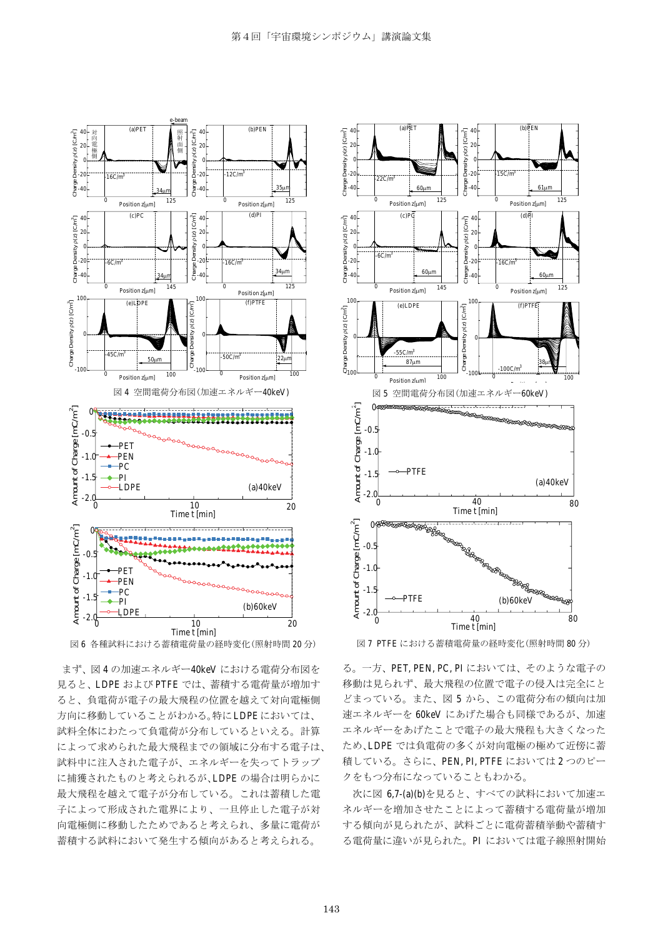



まず、図4の加速エネルギー40keVにおける電荷分布図を 見ると、LDPE および PTFE では、蓄積する電荷量が増加す ると、負電荷が電子の最大飛程の位置を越えて対向電極側 方向に移動していることがわかる。特にLDPEにおいては、 試料全体にわたって負電荷が分布しているといえる。計算 によって求められた最大飛程までの領域に分布する電子は、 試料中に注入された電子が、エネルギーを失ってトラップ に捕獲されたものと考えられるが、LDPEの場合は明らかに 最大飛程を越えて電子が分布している。これは蓄積した電 子によって形成された電界により、一旦停止した電子が対 向雷極側に移動したためであると考えられ、多量に雷荷が 蓄積する試料において発生する傾向があると考えられる。



図7 PTFE における蓄積電荷量の経時変化(照射時間 80 分)

る。一方、PET, PEN, PC, PI においては、そのような電子の 移動は見られず、最大飛程の位置で電子の侵入は完全にと どまっている。また、図5から、この電荷分布の傾向は加 速エネルギーを 60keV にあげた場合も同様であるが、加速 エネルギーをあげたことで電子の最大飛程も大きくなった ため、LDPE では負電荷の多くが対向電極の極めて近傍に蓄 積している。さらに、PEN, PI, PTFE においては2つのピー クをもつ分布になっていることもわかる。

次に図 6,7-(a)(b)を見ると、すべての試料において加速エ ネルギーを増加させたことによって蓄積する電荷量が増加 する傾向が見られたが、試料ごとに電荷蓄積挙動や蓄積す る電荷量に違いが見られた。PI においては電子線照射開始